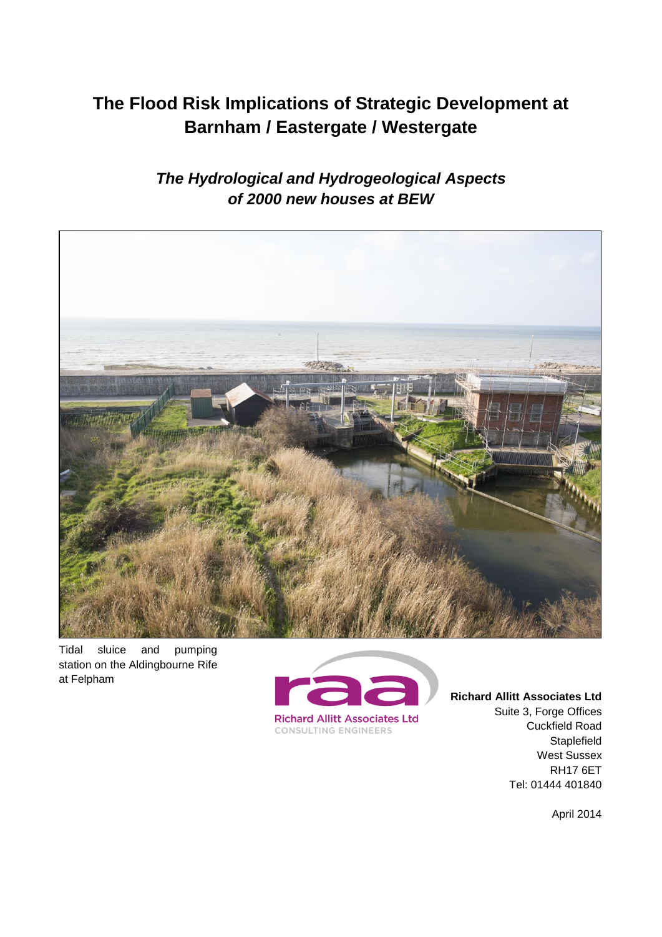# **The Flood Risk Implications of Strategic Development at Barnham / Eastergate / Westergate**

*The Hydrological and Hydrogeological Aspects of 2000 new houses at BEW*



Tidal sluice and pumping station on the Aldingbourne Rife at Felpham



**Richard Allitt Associates Ltd** Suite 3, Forge Offices Cuckfield Road Staplefield West Sussex RH17 6ET Tel: 01444 401840

April 2014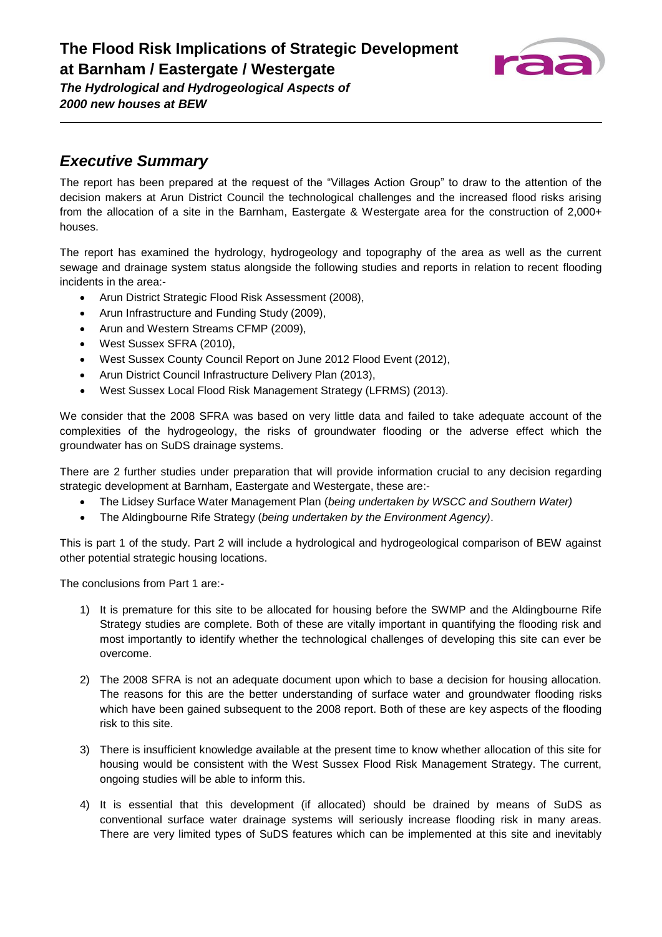

### *Executive Summary*

The report has been prepared at the request of the "Villages Action Group" to draw to the attention of the decision makers at Arun District Council the technological challenges and the increased flood risks arising from the allocation of a site in the Barnham, Eastergate & Westergate area for the construction of 2,000+ houses.

The report has examined the hydrology, hydrogeology and topography of the area as well as the current sewage and drainage system status alongside the following studies and reports in relation to recent flooding incidents in the area:-

- Arun District Strategic Flood Risk Assessment (2008),
- Arun Infrastructure and Funding Study (2009),
- Arun and Western Streams CFMP (2009),
- West Sussex SFRA (2010),
- West Sussex County Council Report on June 2012 Flood Event (2012),
- Arun District Council Infrastructure Delivery Plan (2013),
- West Sussex Local Flood Risk Management Strategy (LFRMS) (2013).

We consider that the 2008 SFRA was based on very little data and failed to take adequate account of the complexities of the hydrogeology, the risks of groundwater flooding or the adverse effect which the groundwater has on SuDS drainage systems.

There are 2 further studies under preparation that will provide information crucial to any decision regarding strategic development at Barnham, Eastergate and Westergate, these are:-

- The Lidsey Surface Water Management Plan (*being undertaken by WSCC and Southern Water)*
- The Aldingbourne Rife Strategy (*being undertaken by the Environment Agency)*.

This is part 1 of the study. Part 2 will include a hydrological and hydrogeological comparison of BEW against other potential strategic housing locations.

The conclusions from Part 1 are:-

- 1) It is premature for this site to be allocated for housing before the SWMP and the Aldingbourne Rife Strategy studies are complete. Both of these are vitally important in quantifying the flooding risk and most importantly to identify whether the technological challenges of developing this site can ever be overcome.
- 2) The 2008 SFRA is not an adequate document upon which to base a decision for housing allocation. The reasons for this are the better understanding of surface water and groundwater flooding risks which have been gained subsequent to the 2008 report. Both of these are key aspects of the flooding risk to this site.
- 3) There is insufficient knowledge available at the present time to know whether allocation of this site for housing would be consistent with the West Sussex Flood Risk Management Strategy. The current, ongoing studies will be able to inform this.
- 4) It is essential that this development (if allocated) should be drained by means of SuDS as conventional surface water drainage systems will seriously increase flooding risk in many areas. There are very limited types of SuDS features which can be implemented at this site and inevitably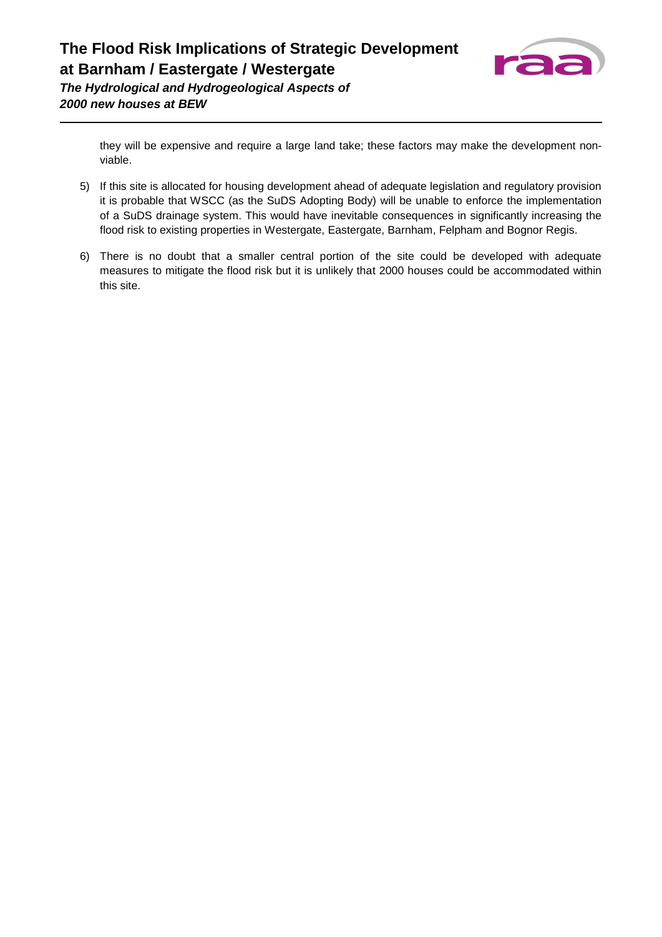

> they will be expensive and require a large land take; these factors may make the development nonviable.

- 5) If this site is allocated for housing development ahead of adequate legislation and regulatory provision it is probable that WSCC (as the SuDS Adopting Body) will be unable to enforce the implementation of a SuDS drainage system. This would have inevitable consequences in significantly increasing the flood risk to existing properties in Westergate, Eastergate, Barnham, Felpham and Bognor Regis.
- 6) There is no doubt that a smaller central portion of the site could be developed with adequate measures to mitigate the flood risk but it is unlikely that 2000 houses could be accommodated within this site.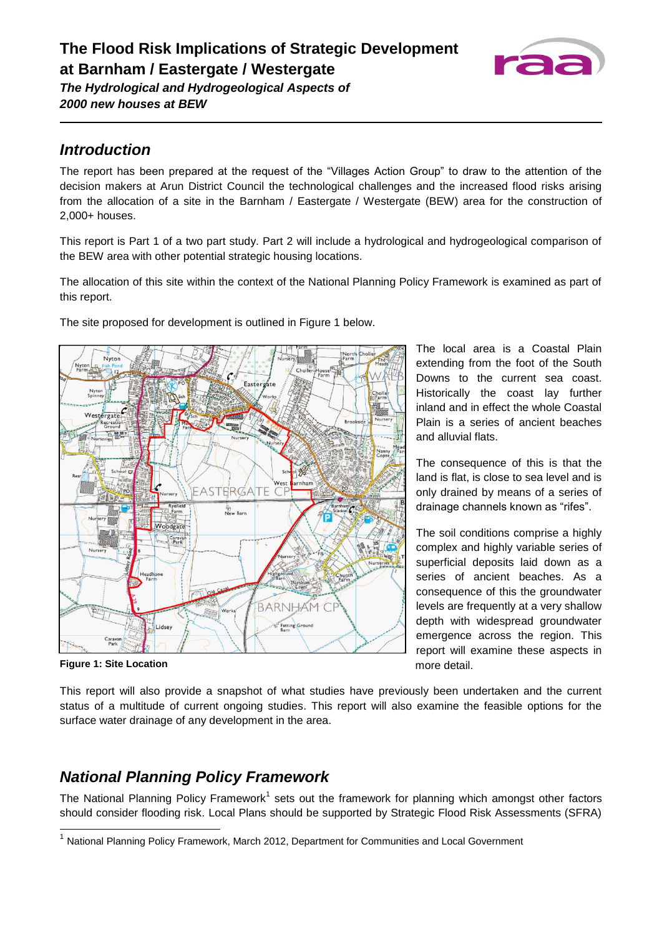

### *Introduction*

The report has been prepared at the request of the "Villages Action Group" to draw to the attention of the decision makers at Arun District Council the technological challenges and the increased flood risks arising from the allocation of a site in the Barnham / Eastergate / Westergate (BEW) area for the construction of 2,000+ houses.

This report is Part 1 of a two part study. Part 2 will include a hydrological and hydrogeological comparison of the BEW area with other potential strategic housing locations.

The allocation of this site within the context of the National Planning Policy Framework is examined as part of this report.

The site proposed for development is outlined in Figure 1 below.



**Figure 1: Site Location**

l

The local area is a Coastal Plain extending from the foot of the South Downs to the current sea coast. Historically the coast lay further inland and in effect the whole Coastal Plain is a series of ancient beaches and alluvial flats.

The consequence of this is that the land is flat, is close to sea level and is only drained by means of a series of drainage channels known as "rifes".

The soil conditions comprise a highly complex and highly variable series of superficial deposits laid down as a series of ancient beaches. As a consequence of this the groundwater levels are frequently at a very shallow depth with widespread groundwater emergence across the region. This report will examine these aspects in more detail.

This report will also provide a snapshot of what studies have previously been undertaken and the current status of a multitude of current ongoing studies. This report will also examine the feasible options for the surface water drainage of any development in the area.

## *National Planning Policy Framework*

The National Planning Policy Framework<sup>1</sup> sets out the framework for planning which amongst other factors should consider flooding risk. Local Plans should be supported by Strategic Flood Risk Assessments (SFRA)

<sup>&</sup>lt;sup>1</sup> National Planning Policy Framework, March 2012, Department for Communities and Local Government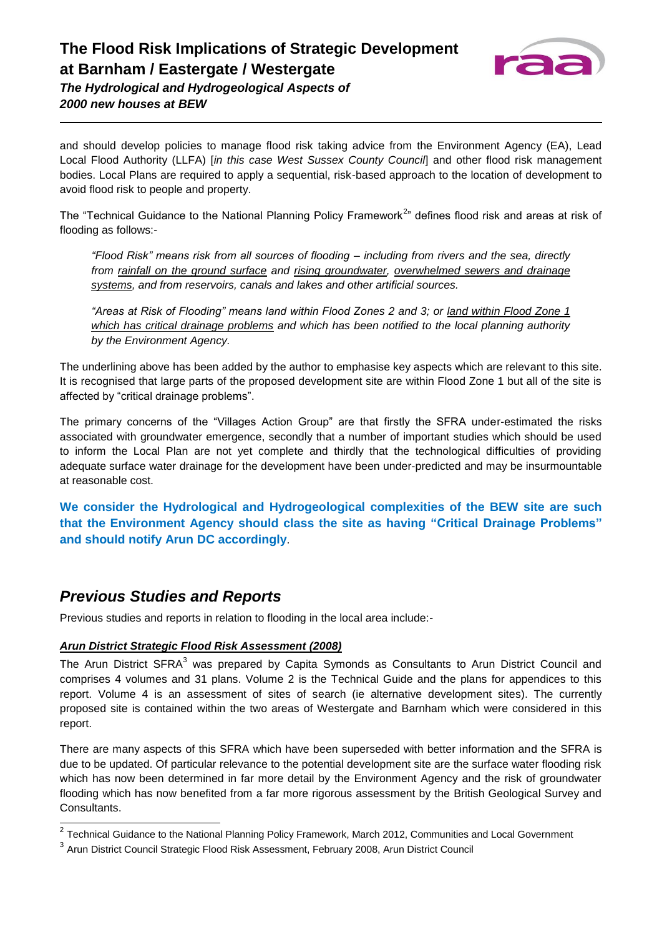

and should develop policies to manage flood risk taking advice from the Environment Agency (EA), Lead Local Flood Authority (LLFA) [*in this case West Sussex County Council*] and other flood risk management bodies. Local Plans are required to apply a sequential, risk-based approach to the location of development to avoid flood risk to people and property.

The "Technical Guidance to the National Planning Policy Framework<sup>2</sup>" defines flood risk and areas at risk of flooding as follows:-

*"Flood Risk" means risk from all sources of flooding – including from rivers and the sea, directly from rainfall on the ground surface and rising groundwater, overwhelmed sewers and drainage systems, and from reservoirs, canals and lakes and other artificial sources.*

*"Areas at Risk of Flooding" means land within Flood Zones 2 and 3; or land within Flood Zone 1 which has critical drainage problems and which has been notified to the local planning authority by the Environment Agency.*

The underlining above has been added by the author to emphasise key aspects which are relevant to this site. It is recognised that large parts of the proposed development site are within Flood Zone 1 but all of the site is affected by "critical drainage problems".

The primary concerns of the "Villages Action Group" are that firstly the SFRA under-estimated the risks associated with groundwater emergence, secondly that a number of important studies which should be used to inform the Local Plan are not yet complete and thirdly that the technological difficulties of providing adequate surface water drainage for the development have been under-predicted and may be insurmountable at reasonable cost.

**We consider the Hydrological and Hydrogeological complexities of the BEW site are such that the Environment Agency should class the site as having "Critical Drainage Problems" and should notify Arun DC accordingly**.

### *Previous Studies and Reports*

Previous studies and reports in relation to flooding in the local area include:-

#### *Arun District Strategic Flood Risk Assessment (2008)*

The Arun District SFRA<sup>3</sup> was prepared by Capita Symonds as Consultants to Arun District Council and comprises 4 volumes and 31 plans. Volume 2 is the Technical Guide and the plans for appendices to this report. Volume 4 is an assessment of sites of search (ie alternative development sites). The currently proposed site is contained within the two areas of Westergate and Barnham which were considered in this report.

There are many aspects of this SFRA which have been superseded with better information and the SFRA is due to be updated. Of particular relevance to the potential development site are the surface water flooding risk which has now been determined in far more detail by the Environment Agency and the risk of groundwater flooding which has now benefited from a far more rigorous assessment by the British Geological Survey and Consultants.

 2 Technical Guidance to the National Planning Policy Framework, March 2012, Communities and Local Government

 $^3$  Arun District Council Strategic Flood Risk Assessment, February 2008, Arun District Council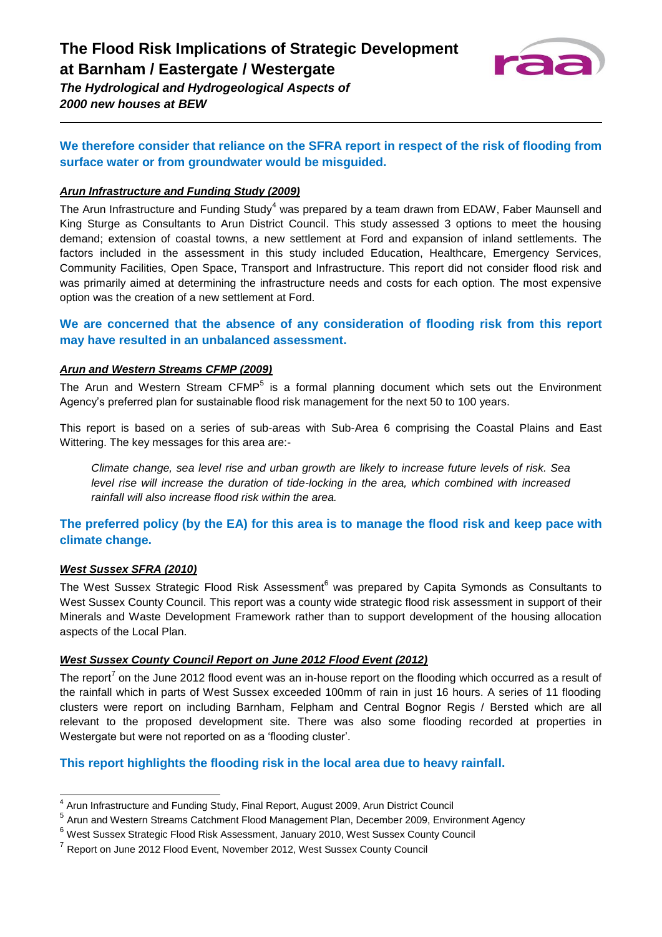

### **We therefore consider that reliance on the SFRA report in respect of the risk of flooding from surface water or from groundwater would be misguided.**

#### *Arun Infrastructure and Funding Study (2009)*

The Arun Infrastructure and Funding Study<sup>4</sup> was prepared by a team drawn from EDAW, Faber Maunsell and King Sturge as Consultants to Arun District Council. This study assessed 3 options to meet the housing demand; extension of coastal towns, a new settlement at Ford and expansion of inland settlements. The factors included in the assessment in this study included Education, Healthcare, Emergency Services, Community Facilities, Open Space, Transport and Infrastructure. This report did not consider flood risk and was primarily aimed at determining the infrastructure needs and costs for each option. The most expensive option was the creation of a new settlement at Ford.

### **We are concerned that the absence of any consideration of flooding risk from this report may have resulted in an unbalanced assessment.**

#### *Arun and Western Streams CFMP (2009)*

The Arun and Western Stream CFMP<sup>5</sup> is a formal planning document which sets out the Environment Agency's preferred plan for sustainable flood risk management for the next 50 to 100 years.

This report is based on a series of sub-areas with Sub-Area 6 comprising the Coastal Plains and East Wittering. The key messages for this area are:-

*Climate change, sea level rise and urban growth are likely to increase future levels of risk. Sea level rise will increase the duration of tide-locking in the area, which combined with increased rainfall will also increase flood risk within the area.*

### **The preferred policy (by the EA) for this area is to manage the flood risk and keep pace with climate change.**

#### *West Sussex SFRA (2010)*

The West Sussex Strategic Flood Risk Assessment<sup>6</sup> was prepared by Capita Symonds as Consultants to West Sussex County Council. This report was a county wide strategic flood risk assessment in support of their Minerals and Waste Development Framework rather than to support development of the housing allocation aspects of the Local Plan.

#### *West Sussex County Council Report on June 2012 Flood Event (2012)*

The report<sup>7</sup> on the June 2012 flood event was an in-house report on the flooding which occurred as a result of the rainfall which in parts of West Sussex exceeded 100mm of rain in just 16 hours. A series of 11 flooding clusters were report on including Barnham, Felpham and Central Bognor Regis / Bersted which are all relevant to the proposed development site. There was also some flooding recorded at properties in Westergate but were not reported on as a 'flooding cluster'.

#### **This report highlights the flooding risk in the local area due to heavy rainfall.**

 4 Arun Infrastructure and Funding Study, Final Report, August 2009, Arun District Council

<sup>&</sup>lt;sup>5</sup> Arun and Western Streams Catchment Flood Management Plan, December 2009, Environment Agency

<sup>6</sup> West Sussex Strategic Flood Risk Assessment, January 2010, West Sussex County Council

 $^7$  Report on June 2012 Flood Event, November 2012, West Sussex County Council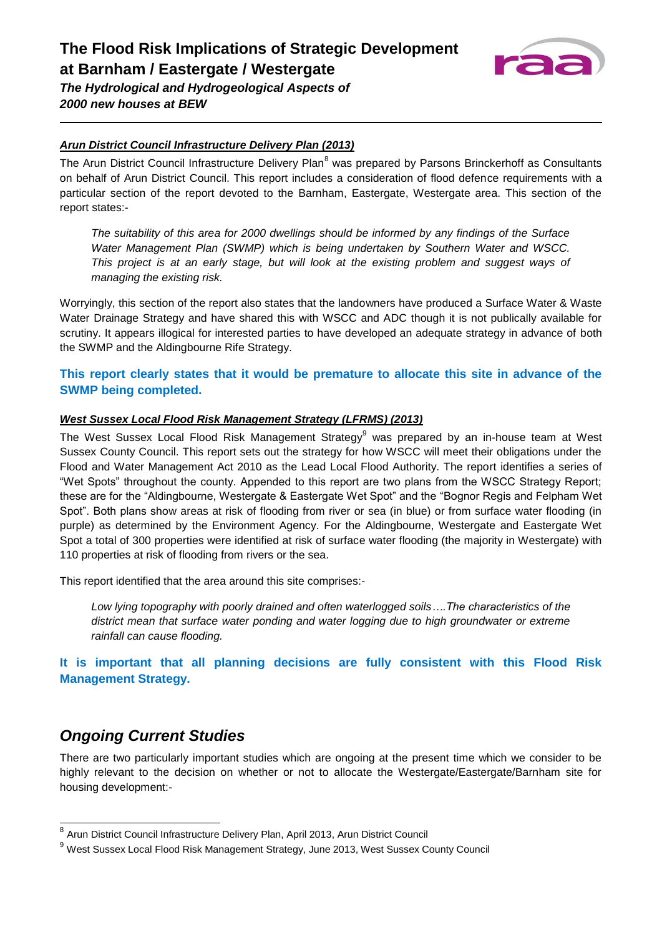

### *Arun District Council Infrastructure Delivery Plan (2013)*

The Arun District Council Infrastructure Delivery Plan<sup>8</sup> was prepared by Parsons Brinckerhoff as Consultants on behalf of Arun District Council. This report includes a consideration of flood defence requirements with a particular section of the report devoted to the Barnham, Eastergate, Westergate area. This section of the report states:-

*The suitability of this area for 2000 dwellings should be informed by any findings of the Surface Water Management Plan (SWMP) which is being undertaken by Southern Water and WSCC. This project is at an early stage, but will look at the existing problem and suggest ways of managing the existing risk.*

Worryingly, this section of the report also states that the landowners have produced a Surface Water & Waste Water Drainage Strategy and have shared this with WSCC and ADC though it is not publically available for scrutiny. It appears illogical for interested parties to have developed an adequate strategy in advance of both the SWMP and the Aldingbourne Rife Strategy.

### **This report clearly states that it would be premature to allocate this site in advance of the SWMP being completed.**

#### *West Sussex Local Flood Risk Management Strategy (LFRMS) (2013)*

The West Sussex Local Flood Risk Management Strategy<sup>9</sup> was prepared by an in-house team at West Sussex County Council. This report sets out the strategy for how WSCC will meet their obligations under the Flood and Water Management Act 2010 as the Lead Local Flood Authority. The report identifies a series of "Wet Spots" throughout the county. Appended to this report are two plans from the WSCC Strategy Report; these are for the "Aldingbourne, Westergate & Eastergate Wet Spot" and the "Bognor Regis and Felpham Wet Spot". Both plans show areas at risk of flooding from river or sea (in blue) or from surface water flooding (in purple) as determined by the Environment Agency. For the Aldingbourne, Westergate and Eastergate Wet Spot a total of 300 properties were identified at risk of surface water flooding (the majority in Westergate) with 110 properties at risk of flooding from rivers or the sea.

This report identified that the area around this site comprises:-

*Low lying topography with poorly drained and often waterlogged soils….The characteristics of the district mean that surface water ponding and water logging due to high groundwater or extreme rainfall can cause flooding.*

**It is important that all planning decisions are fully consistent with this Flood Risk Management Strategy.**

### *Ongoing Current Studies*

There are two particularly important studies which are ongoing at the present time which we consider to be highly relevant to the decision on whether or not to allocate the Westergate/Eastergate/Barnham site for housing development:-

 8 Arun District Council Infrastructure Delivery Plan, April 2013, Arun District Council

<sup>9</sup> West Sussex Local Flood Risk Management Strategy, June 2013, West Sussex County Council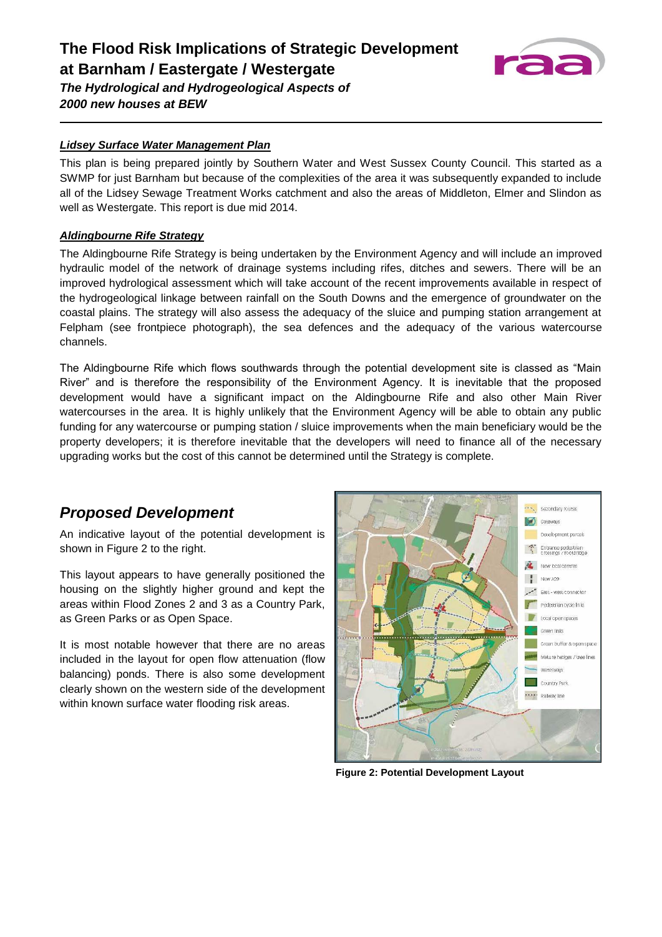

### *Lidsey Surface Water Management Plan*

This plan is being prepared jointly by Southern Water and West Sussex County Council. This started as a SWMP for just Barnham but because of the complexities of the area it was subsequently expanded to include all of the Lidsey Sewage Treatment Works catchment and also the areas of Middleton, Elmer and Slindon as well as Westergate. This report is due mid 2014.

#### *Aldingbourne Rife Strategy*

The Aldingbourne Rife Strategy is being undertaken by the Environment Agency and will include an improved hydraulic model of the network of drainage systems including rifes, ditches and sewers. There will be an improved hydrological assessment which will take account of the recent improvements available in respect of the hydrogeological linkage between rainfall on the South Downs and the emergence of groundwater on the coastal plains. The strategy will also assess the adequacy of the sluice and pumping station arrangement at Felpham (see frontpiece photograph), the sea defences and the adequacy of the various watercourse channels.

The Aldingbourne Rife which flows southwards through the potential development site is classed as "Main River" and is therefore the responsibility of the Environment Agency. It is inevitable that the proposed development would have a significant impact on the Aldingbourne Rife and also other Main River watercourses in the area. It is highly unlikely that the Environment Agency will be able to obtain any public funding for any watercourse or pumping station / sluice improvements when the main beneficiary would be the property developers; it is therefore inevitable that the developers will need to finance all of the necessary upgrading works but the cost of this cannot be determined until the Strategy is complete.

### *Proposed Development*

An indicative layout of the potential development is shown in Figure 2 to the right.

This layout appears to have generally positioned the housing on the slightly higher ground and kept the areas within Flood Zones 2 and 3 as a Country Park, as Green Parks or as Open Space.

It is most notable however that there are no areas included in the layout for open flow attenuation (flow balancing) ponds. There is also some development clearly shown on the western side of the development within known surface water flooding risk areas.



**Figure 2: Potential Development Layout**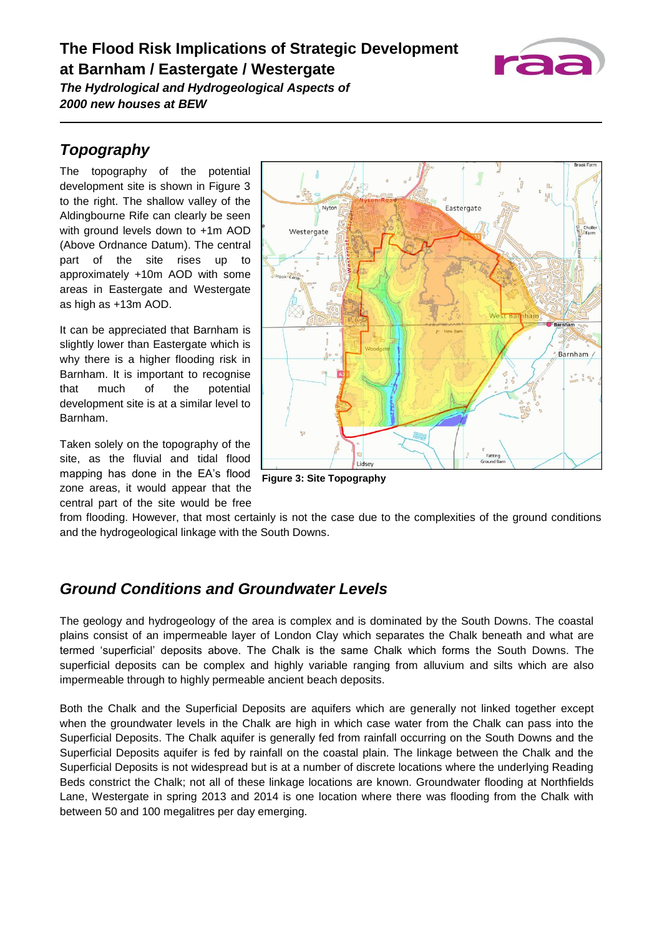## **The Flood Risk Implications of Strategic Development at Barnham / Eastergate / Westergate**



*The Hydrological and Hydrogeological Aspects of 2000 new houses at BEW*

## *Topography*

The topography of the potential development site is shown in Figure 3 to the right. The shallow valley of the Aldingbourne Rife can clearly be seen with ground levels down to +1m AOD (Above Ordnance Datum). The central part of the site rises up to approximately +10m AOD with some areas in Eastergate and Westergate as high as +13m AOD.

It can be appreciated that Barnham is slightly lower than Eastergate which is why there is a higher flooding risk in Barnham. It is important to recognise that much of the potential development site is at a similar level to Barnham.

Taken solely on the topography of the site, as the fluvial and tidal flood mapping has done in the EA's flood zone areas, it would appear that the central part of the site would be free



**Figure 3: Site Topography**

from flooding. However, that most certainly is not the case due to the complexities of the ground conditions and the hydrogeological linkage with the South Downs.

## *Ground Conditions and Groundwater Levels*

The geology and hydrogeology of the area is complex and is dominated by the South Downs. The coastal plains consist of an impermeable layer of London Clay which separates the Chalk beneath and what are termed 'superficial' deposits above. The Chalk is the same Chalk which forms the South Downs. The superficial deposits can be complex and highly variable ranging from alluvium and silts which are also impermeable through to highly permeable ancient beach deposits.

Both the Chalk and the Superficial Deposits are aquifers which are generally not linked together except when the groundwater levels in the Chalk are high in which case water from the Chalk can pass into the Superficial Deposits. The Chalk aquifer is generally fed from rainfall occurring on the South Downs and the Superficial Deposits aquifer is fed by rainfall on the coastal plain. The linkage between the Chalk and the Superficial Deposits is not widespread but is at a number of discrete locations where the underlying Reading Beds constrict the Chalk; not all of these linkage locations are known. Groundwater flooding at Northfields Lane, Westergate in spring 2013 and 2014 is one location where there was flooding from the Chalk with between 50 and 100 megalitres per day emerging.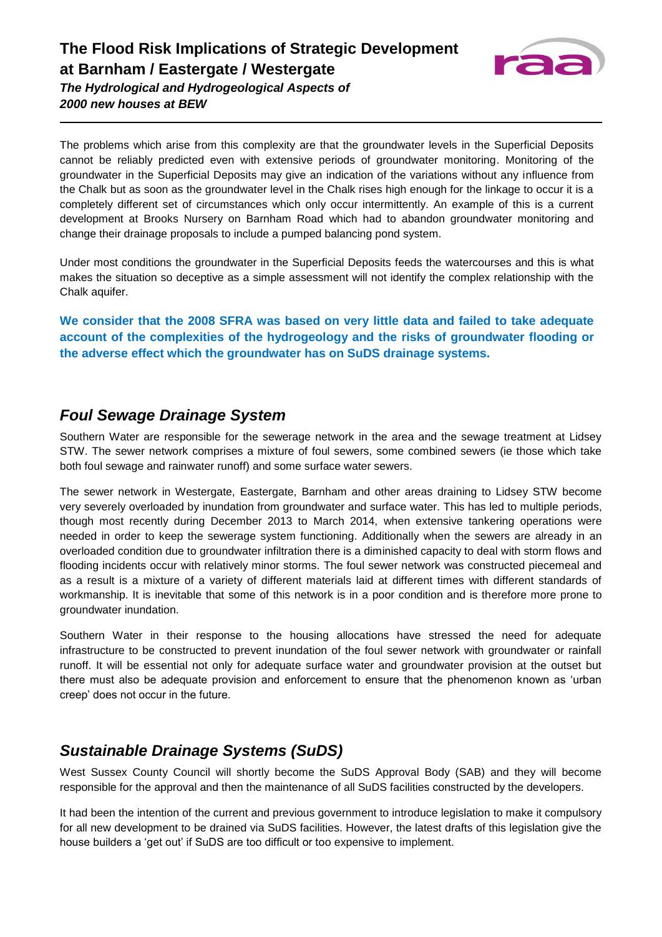

The problems which arise from this complexity are that the groundwater levels in the Superficial Deposits cannot be reliably predicted even with extensive periods of groundwater monitoring. Monitoring of the groundwater in the Superficial Deposits may give an indication of the variations without any influence from the Chalk but as soon as the groundwater level in the Chalk rises high enough for the linkage to occur it is a completely different set of circumstances which only occur intermittently. An example of this is a current development at Brooks Nursery on Barnham Road which had to abandon groundwater monitoring and change their drainage proposals to include a pumped balancing pond system.

Under most conditions the groundwater in the Superficial Deposits feeds the watercourses and this is what makes the situation so deceptive as a simple assessment will not identify the complex relationship with the Chalk aquifer.

**We consider that the 2008 SFRA was based on very little data and failed to take adequate account of the complexities of the hydrogeology and the risks of groundwater flooding or the adverse effect which the groundwater has on SuDS drainage systems.**

### *Foul Sewage Drainage System*

Southern Water are responsible for the sewerage network in the area and the sewage treatment at Lidsey STW. The sewer network comprises a mixture of foul sewers, some combined sewers (ie those which take both foul sewage and rainwater runoff) and some surface water sewers.

The sewer network in Westergate, Eastergate, Barnham and other areas draining to Lidsey STW become very severely overloaded by inundation from groundwater and surface water. This has led to multiple periods, though most recently during December 2013 to March 2014, when extensive tankering operations were needed in order to keep the sewerage system functioning. Additionally when the sewers are already in an overloaded condition due to groundwater infiltration there is a diminished capacity to deal with storm flows and flooding incidents occur with relatively minor storms. The foul sewer network was constructed piecemeal and as a result is a mixture of a variety of different materials laid at different times with different standards of workmanship. It is inevitable that some of this network is in a poor condition and is therefore more prone to groundwater inundation.

Southern Water in their response to the housing allocations have stressed the need for adequate infrastructure to be constructed to prevent inundation of the foul sewer network with groundwater or rainfall runoff. It will be essential not only for adequate surface water and groundwater provision at the outset but there must also be adequate provision and enforcement to ensure that the phenomenon known as 'urban creep' does not occur in the future.

### *Sustainable Drainage Systems (SuDS)*

West Sussex County Council will shortly become the SuDS Approval Body (SAB) and they will become responsible for the approval and then the maintenance of all SuDS facilities constructed by the developers.

It had been the intention of the current and previous government to introduce legislation to make it compulsory for all new development to be drained via SuDS facilities. However, the latest drafts of this legislation give the house builders a 'get out' if SuDS are too difficult or too expensive to implement.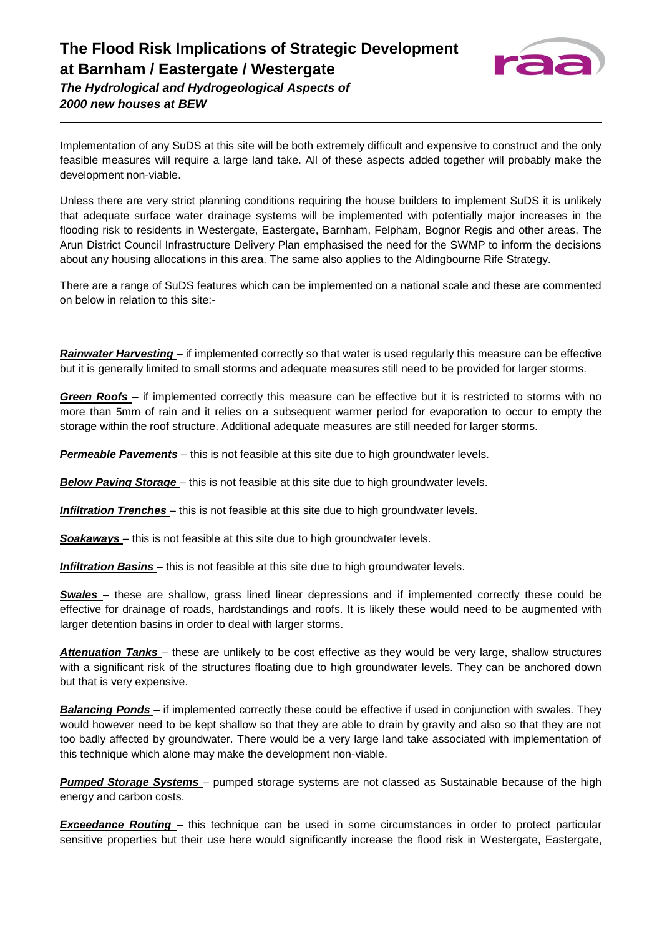

*2000 new houses at BEW*

Implementation of any SuDS at this site will be both extremely difficult and expensive to construct and the only feasible measures will require a large land take. All of these aspects added together will probably make the development non-viable.

Unless there are very strict planning conditions requiring the house builders to implement SuDS it is unlikely that adequate surface water drainage systems will be implemented with potentially major increases in the flooding risk to residents in Westergate, Eastergate, Barnham, Felpham, Bognor Regis and other areas. The Arun District Council Infrastructure Delivery Plan emphasised the need for the SWMP to inform the decisions about any housing allocations in this area. The same also applies to the Aldingbourne Rife Strategy.

There are a range of SuDS features which can be implemented on a national scale and these are commented on below in relation to this site:-

*Rainwater Harvesting* – if implemented correctly so that water is used regularly this measure can be effective but it is generally limited to small storms and adequate measures still need to be provided for larger storms.

*Green Roofs* – if implemented correctly this measure can be effective but it is restricted to storms with no more than 5mm of rain and it relies on a subsequent warmer period for evaporation to occur to empty the storage within the roof structure. Additional adequate measures are still needed for larger storms.

*Permeable Pavements* – this is not feasible at this site due to high groundwater levels.

*Below Paving Storage* – this is not feasible at this site due to high groundwater levels.

**Infiltration Trenches** – this is not feasible at this site due to high groundwater levels.

**Soakaways** – this is not feasible at this site due to high groundwater levels.

*Infiltration Basins* – this is not feasible at this site due to high groundwater levels.

*Swales* – these are shallow, grass lined linear depressions and if implemented correctly these could be effective for drainage of roads, hardstandings and roofs. It is likely these would need to be augmented with larger detention basins in order to deal with larger storms.

*Attenuation Tanks* – these are unlikely to be cost effective as they would be very large, shallow structures with a significant risk of the structures floating due to high groundwater levels. They can be anchored down but that is very expensive.

*Balancing Ponds* – if implemented correctly these could be effective if used in conjunction with swales. They would however need to be kept shallow so that they are able to drain by gravity and also so that they are not too badly affected by groundwater. There would be a very large land take associated with implementation of this technique which alone may make the development non-viable.

*Pumped Storage Systems* – pumped storage systems are not classed as Sustainable because of the high energy and carbon costs.

*Exceedance Routing* – this technique can be used in some circumstances in order to protect particular sensitive properties but their use here would significantly increase the flood risk in Westergate, Eastergate,